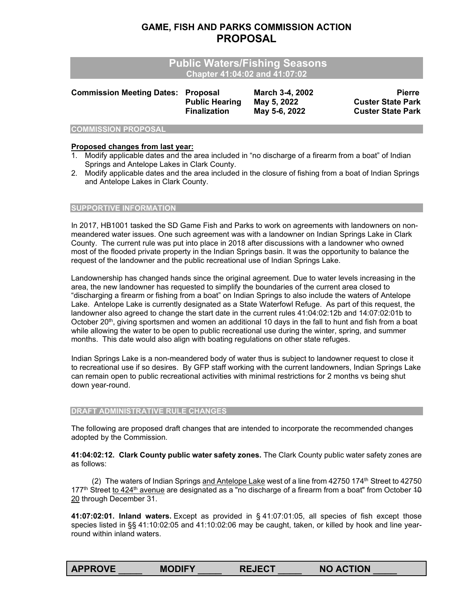# **GAME, FISH AND PARKS COMMISSION ACTION PROPOSAL**

| <b>Commission Meeting Dates: Proposal</b><br><b>Public Hearing</b> | <b>March 3-4, 2002</b><br>May 5, 2022 | <b>Pierre</b><br><b>Custer State Park</b><br><b>Custer State Park</b>                  |
|--------------------------------------------------------------------|---------------------------------------|----------------------------------------------------------------------------------------|
|                                                                    | <b>Finalization</b>                   | <b>Public Waters/Fishing Seasons</b><br>Chapter 41:04:02 and 41:07:02<br>May 5-6, 2022 |

## **COMMISSION PROPOSAL**

### **Proposed changes from last year:**

- 1. Modify applicable dates and the area included in "no discharge of a firearm from a boat" of Indian Springs and Antelope Lakes in Clark County.
- 2. Modify applicable dates and the area included in the closure of fishing from a boat of Indian Springs and Antelope Lakes in Clark County.

#### **SUPPORTIVE INFORMATION**

In 2017, HB1001 tasked the SD Game Fish and Parks to work on agreements with landowners on nonmeandered water issues. One such agreement was with a landowner on Indian Springs Lake in Clark County. The current rule was put into place in 2018 after discussions with a landowner who owned most of the flooded private property in the Indian Springs basin. It was the opportunity to balance the request of the landowner and the public recreational use of Indian Springs Lake.

Landownership has changed hands since the original agreement. Due to water levels increasing in the area, the new landowner has requested to simplify the boundaries of the current area closed to "discharging a firearm or fishing from a boat" on Indian Springs to also include the waters of Antelope Lake. Antelope Lake is currently designated as a State Waterfowl Refuge. As part of this request, the landowner also agreed to change the start date in the current rules 41:04:02:12b and 14:07:02:01b to October 20<sup>th</sup>, giving sportsmen and women an additional 10 days in the fall to hunt and fish from a boat while allowing the water to be open to public recreational use during the winter, spring, and summer months. This date would also align with boating regulations on other state refuges.

Indian Springs Lake is a non-meandered body of water thus is subject to landowner request to close it to recreational use if so desires. By GFP staff working with the current landowners, Indian Springs Lake can remain open to public recreational activities with minimal restrictions for 2 months vs being shut down year-round.

#### **DRAFT ADMINISTRATIVE RULE CHANGES**

The following are proposed draft changes that are intended to incorporate the recommended changes adopted by the Commission.

**41:04:02:12. Clark County public water safety zones.** The Clark County public water safety zones are as follows:

(2) The waters of Indian Springs and Antelope Lake west of a line from  $42750$  174<sup>th</sup> Street to  $42750$ 177<sup>th</sup> Street to 424<sup>th</sup> avenue are designated as a "no discharge of a firearm from a boat" from October 40 20 through December 31.

**41:07:02:01. Inland waters.** Except as provided in § 41:07:01:05, all species of fish except those species listed in §§ 41:10:02:05 and 41:10:02:06 may be caught, taken, or killed by hook and line yearround within inland waters.

| <b>APPROVE</b> | <b>MODIFY</b> | <b>REJECT</b> | <b>NO ACTION</b> |
|----------------|---------------|---------------|------------------|
|                |               |               |                  |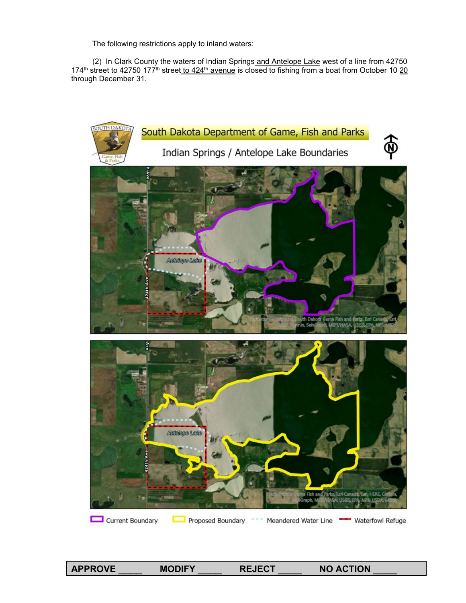The following restrictions apply to inland waters:

 (2) In Clark County the waters of Indian Springs and Antelope Lake west of a line from 42750 174<sup>th</sup> street to 42750 177<sup>th</sup> street to 424<sup>th</sup> avenue is closed to fishing from a boat from October 10 20 through December 31.



**APPROVE** \_\_\_\_ **MODIFY** \_\_\_\_ **REJECT** \_\_\_\_ **NO ACTION** \_\_\_\_